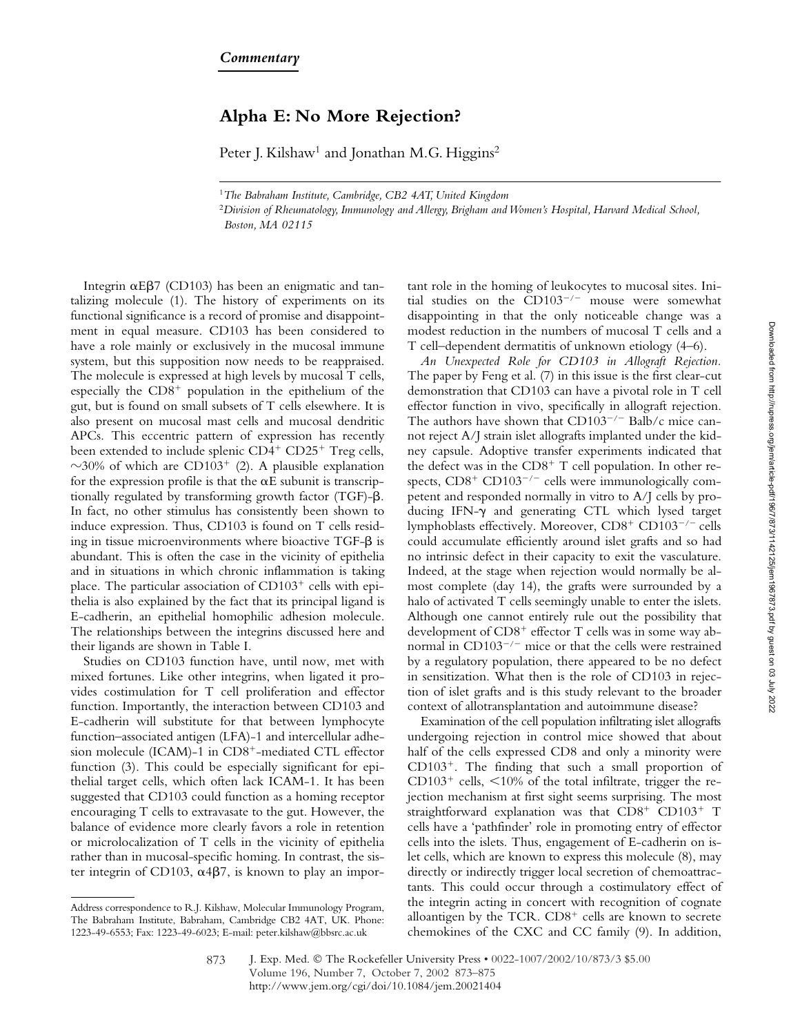## **Alpha E: No More Rejection?**

Peter J. Kilshaw<sup>1</sup> and Jonathan M.G. Higgins<sup>2</sup>

<sup>1</sup>*The Babraham Institute, Cambridge, CB2 4AT, United Kingdom*

<sup>2</sup>*Division of Rheumatology, Immunology and Allergy, Brigham and Women's Hospital, Harvard Medical School, Boston, MA 02115*

Integrin  $\alpha$ E $\beta$ 7 (CD103) has been an enigmatic and tantalizing molecule (1). The history of experiments on its functional significance is a record of promise and disappointment in equal measure. CD103 has been considered to have a role mainly or exclusively in the mucosal immune system, but this supposition now needs to be reappraised. The molecule is expressed at high levels by mucosal T cells, especially the  $CD8<sup>+</sup>$  population in the epithelium of the gut, but is found on small subsets of T cells elsewhere. It is also present on mucosal mast cells and mucosal dendritic APCs. This eccentric pattern of expression has recently been extended to include splenic  $CD4^+$   $CD25^+$  Treg cells,  $\sim$ 30% of which are CD103<sup>+</sup> (2). A plausible explanation for the expression profile is that the  $\alpha E$  subunit is transcriptionally regulated by transforming growth factor  $(TGF)-\beta$ . In fact, no other stimulus has consistently been shown to induce expression. Thus, CD103 is found on T cells residing in tissue microenvironments where bioactive  $TGF-B$  is abundant. This is often the case in the vicinity of epithelia and in situations in which chronic inflammation is taking place. The particular association of  $CD103<sup>+</sup>$  cells with epithelia is also explained by the fact that its principal ligand is E-cadherin, an epithelial homophilic adhesion molecule. The relationships between the integrins discussed here and their ligands are shown in Table I.

Studies on CD103 function have, until now, met with mixed fortunes. Like other integrins, when ligated it provides costimulation for T cell proliferation and effector function. Importantly, the interaction between CD103 and E-cadherin will substitute for that between lymphocyte function–associated antigen (LFA)-1 and intercellular adhesion molecule (ICAM)-1 in  $CD8<sup>+</sup>$ -mediated CTL effector function (3). This could be especially significant for epithelial target cells, which often lack ICAM-1. It has been suggested that CD103 could function as a homing receptor encouraging T cells to extravasate to the gut. However, the balance of evidence more clearly favors a role in retention or microlocalization of T cells in the vicinity of epithelia rather than in mucosal-specific homing. In contrast, the sister integrin of CD103,  $\alpha$ 4 $\beta$ 7, is known to play an important role in the homing of leukocytes to mucosal sites. Initial studies on the  $CD103^{-/-}$  mouse were somewhat disappointing in that the only noticeable change was a modest reduction in the numbers of mucosal T cells and a T cell–dependent dermatitis of unknown etiology (4–6).

*An Unexpected Role for CD103 in Allograft Rejection.* The paper by Feng et al. (7) in this issue is the first clear-cut demonstration that CD103 can have a pivotal role in T cell effector function in vivo, specifically in allograft rejection. The authors have shown that  $CD103^{-/-}$  Balb/c mice cannot reject A/J strain islet allografts implanted under the kidney capsule. Adoptive transfer experiments indicated that the defect was in the  $CDS<sup>+</sup> T$  cell population. In other respects,  $CD8<sup>+</sup> CD103<sup>-/-</sup>$  cells were immunologically competent and responded normally in vitro to A/J cells by producing IFN- $\gamma$  and generating CTL which lysed target lymphoblasts effectively. Moreover,  $CD8^+$   $CD103^{-/-}$  cells could accumulate efficiently around islet grafts and so had no intrinsic defect in their capacity to exit the vasculature. Indeed, at the stage when rejection would normally be almost complete (day 14), the grafts were surrounded by a halo of activated T cells seemingly unable to enter the islets. Although one cannot entirely rule out the possibility that development of  $CD8<sup>+</sup>$  effector T cells was in some way abnormal in  $CD103^{-/-}$  mice or that the cells were restrained by a regulatory population, there appeared to be no defect in sensitization. What then is the role of CD103 in rejection of islet grafts and is this study relevant to the broader context of allotransplantation and autoimmune disease?

Examination of the cell population infiltrating islet allografts undergoing rejection in control mice showed that about half of the cells expressed CD8 and only a minority were  $CD103<sup>+</sup>$ . The finding that such a small proportion of  $CD103<sup>+</sup>$  cells,  $\leq 10\%$  of the total infiltrate, trigger the rejection mechanism at first sight seems surprising. The most straightforward explanation was that  $CD8^+$   $CD103^+$  T cells have a 'pathfinder' role in promoting entry of effector cells into the islets. Thus, engagement of E-cadherin on islet cells, which are known to express this molecule (8), may directly or indirectly trigger local secretion of chemoattractants. This could occur through a costimulatory effect of the integrin acting in concert with recognition of cognate alloantigen by the TCR.  $CD8<sup>+</sup>$  cells are known to secrete chemokines of the CXC and CC family (9). In addition,

Address correspondence to R.J. Kilshaw, Molecular Immunology Program, The Babraham Institute, Babraham, Cambridge CB2 4AT, UK. Phone: 1223-49-6553; Fax: 1223-49-6023; E-mail: peter.kilshaw@bbsrc.ac.uk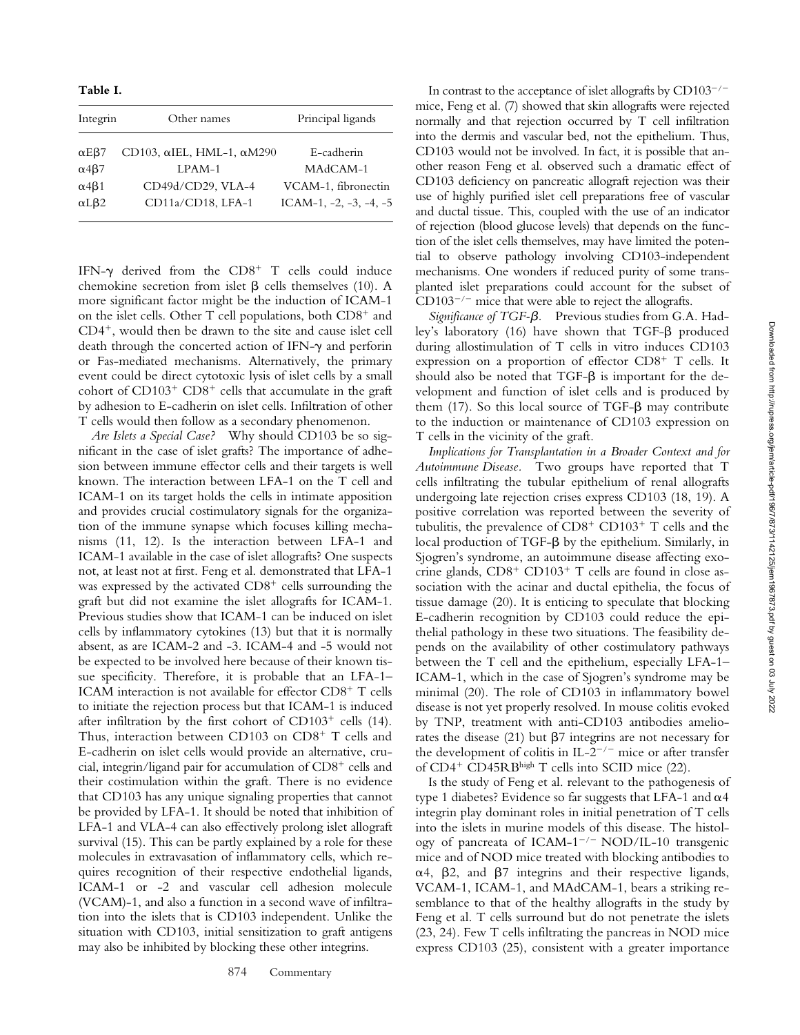**Table I.** 

| Integrin             | Other names                               | Principal ligands                 |
|----------------------|-------------------------------------------|-----------------------------------|
| $\alpha$ EB7         | CD103, $\alpha$ IEL, HML-1, $\alpha$ M290 | E-cadherin                        |
| $\alpha$ 4 $\beta$ 7 | LPAM-1                                    | MAdCAM-1                          |
| $\alpha$ 4 $\beta$ 1 | CD49d/CD29, VLA-4                         | VCAM-1, fibronectin               |
| $\alpha$ L $\beta$ 2 | CD11a/CD18, LFA-1                         | ICAM-1, $-2$ , $-3$ , $-4$ , $-5$ |

IFN- $\gamma$  derived from the CD8<sup>+</sup> T cells could induce chemokine secretion from islet  $\beta$  cells themselves (10). A more significant factor might be the induction of ICAM-1 on the islet cells. Other T cell populations, both  $CD8<sup>+</sup>$  and  $CD4^+$ , would then be drawn to the site and cause islet cell death through the concerted action of IFN- $\gamma$  and perforin or Fas-mediated mechanisms. Alternatively, the primary event could be direct cytotoxic lysis of islet cells by a small cohort of  $CD103<sup>+</sup>$  CD8<sup>+</sup> cells that accumulate in the graft by adhesion to E-cadherin on islet cells. Infiltration of other T cells would then follow as a secondary phenomenon.

*Are Islets a Special Case?* Why should CD103 be so significant in the case of islet grafts? The importance of adhesion between immune effector cells and their targets is well known. The interaction between LFA-1 on the T cell and ICAM-1 on its target holds the cells in intimate apposition and provides crucial costimulatory signals for the organization of the immune synapse which focuses killing mechanisms (11, 12). Is the interaction between LFA-1 and ICAM-1 available in the case of islet allografts? One suspects not, at least not at first. Feng et al. demonstrated that LFA-1 was expressed by the activated  $CD8<sup>+</sup>$  cells surrounding the graft but did not examine the islet allografts for ICAM-1. Previous studies show that ICAM-1 can be induced on islet cells by inflammatory cytokines (13) but that it is normally absent, as are ICAM-2 and -3. ICAM-4 and -5 would not be expected to be involved here because of their known tissue specificity. Therefore, it is probable that an LFA-1– ICAM interaction is not available for effector  $CD8^+$  T cells to initiate the rejection process but that ICAM-1 is induced after infiltration by the first cohort of  $CD103<sup>+</sup>$  cells (14). Thus, interaction between CD103 on  $CD8<sup>+</sup>$  T cells and E-cadherin on islet cells would provide an alternative, crucial, integrin/ligand pair for accumulation of  $CD8<sup>+</sup>$  cells and their costimulation within the graft. There is no evidence that CD103 has any unique signaling properties that cannot be provided by LFA-1. It should be noted that inhibition of LFA-1 and VLA-4 can also effectively prolong islet allograft survival (15). This can be partly explained by a role for these molecules in extravasation of inflammatory cells, which requires recognition of their respective endothelial ligands, ICAM-1 or -2 and vascular cell adhesion molecule (VCAM)-1, and also a function in a second wave of infiltration into the islets that is CD103 independent. Unlike the situation with CD103, initial sensitization to graft antigens may also be inhibited by blocking these other integrins.

In contrast to the acceptance of islet allografts by  $CD103^{-/-}$ mice, Feng et al. (7) showed that skin allografts were rejected normally and that rejection occurred by T cell infiltration into the dermis and vascular bed, not the epithelium. Thus, CD103 would not be involved. In fact, it is possible that another reason Feng et al. observed such a dramatic effect of CD103 deficiency on pancreatic allograft rejection was their use of highly purified islet cell preparations free of vascular and ductal tissue. This, coupled with the use of an indicator of rejection (blood glucose levels) that depends on the function of the islet cells themselves, may have limited the potential to observe pathology involving CD103-independent mechanisms. One wonders if reduced purity of some transplanted islet preparations could account for the subset of  $CD103^{-/-}$  mice that were able to reject the allografts.

*Significance of TGF-.* Previous studies from G.A. Hadley's laboratory (16) have shown that  $TGF-\beta$  produced during allostimulation of T cells in vitro induces CD103 expression on a proportion of effector  $CD8<sup>+</sup>$  T cells. It should also be noted that  $TGF-\beta$  is important for the development and function of islet cells and is produced by them  $(17)$ . So this local source of TGF- $\beta$  may contribute to the induction or maintenance of CD103 expression on T cells in the vicinity of the graft.

*Implications for Transplantation in a Broader Context and for Autoimmune Disease.* Two groups have reported that T cells infiltrating the tubular epithelium of renal allografts undergoing late rejection crises express CD103 (18, 19). A positive correlation was reported between the severity of tubulitis, the prevalence of  $CD8<sup>+</sup> CD103<sup>+</sup> T$  cells and the local production of  $TGF-\beta$  by the epithelium. Similarly, in Sjogren's syndrome, an autoimmune disease affecting exocrine glands,  $CD8<sup>+</sup> CD103<sup>+</sup> T$  cells are found in close association with the acinar and ductal epithelia, the focus of tissue damage (20). It is enticing to speculate that blocking E-cadherin recognition by CD103 could reduce the epithelial pathology in these two situations. The feasibility depends on the availability of other costimulatory pathways between the T cell and the epithelium, especially LFA-1– ICAM-1, which in the case of Sjogren's syndrome may be minimal (20). The role of CD103 in inflammatory bowel disease is not yet properly resolved. In mouse colitis evoked by TNP, treatment with anti-CD103 antibodies ameliorates the disease  $(21)$  but  $\beta$ 7 integrins are not necessary for the development of colitis in IL-2<sup>-/-</sup> mice or after transfer of CD4<sup>+</sup> CD45RBhigh T cells into SCID mice (22).

Is the study of Feng et al. relevant to the pathogenesis of type 1 diabetes? Evidence so far suggests that LFA-1 and  $\alpha$ 4 integrin play dominant roles in initial penetration of T cells into the islets in murine models of this disease. The histology of pancreata of ICAM-1<sup>-/-</sup> NOD/IL-10 transgenic mice and of NOD mice treated with blocking antibodies to  $\alpha$ 4,  $\beta$ 2, and  $\beta$ 7 integrins and their respective ligands, VCAM-1, ICAM-1, and MAdCAM-1, bears a striking resemblance to that of the healthy allografts in the study by Feng et al. T cells surround but do not penetrate the islets (23, 24). Few T cells infiltrating the pancreas in NOD mice express CD103 (25), consistent with a greater importance